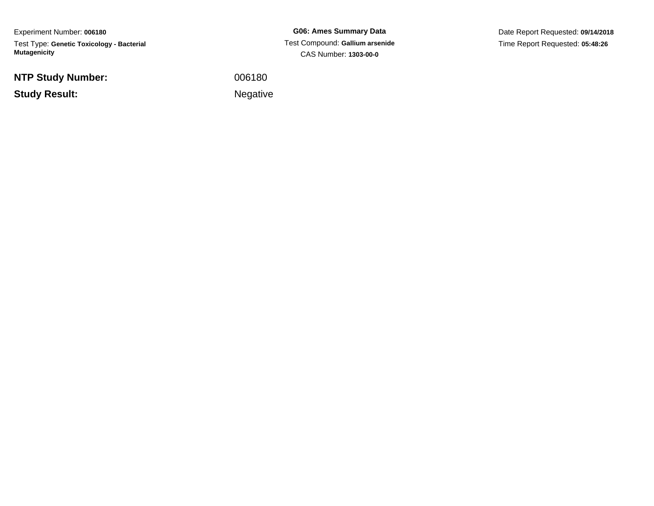Experiment Number: **006180**Test Type: **Genetic Toxicology - Bacterial Mutagenicity**

**NTP Study Number:**

**Study Result:**

**G06: Ames Summary Data** Test Compound: **Gallium arsenide**CAS Number: **1303-00-0**

Date Report Requested: **09/14/2018**Time Report Requested: **05:48:26**

<sup>006180</sup>

Negative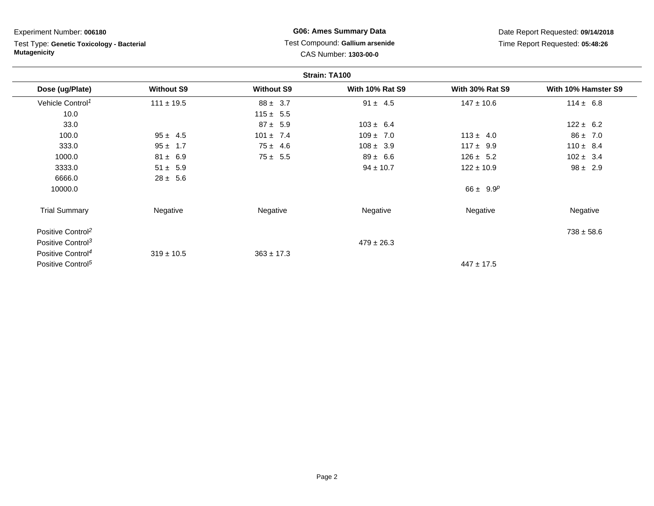Test Type: **Genetic Toxicology - Bacterial Mutagenicity**

# **G06: Ames Summary Data** Test Compound: **Gallium arsenide**CAS Number: **1303-00-0**

|                               |                   |                   | Strain: TA100          |                        |                     |
|-------------------------------|-------------------|-------------------|------------------------|------------------------|---------------------|
| Dose (ug/Plate)               | <b>Without S9</b> | <b>Without S9</b> | <b>With 10% Rat S9</b> | <b>With 30% Rat S9</b> | With 10% Hamster S9 |
| Vehicle Control <sup>1</sup>  | $111 \pm 19.5$    | $88 \pm 3.7$      | $91 \pm 4.5$           | $147 \pm 10.6$         | $114 \pm 6.8$       |
| 10.0                          |                   | $115 \pm 5.5$     |                        |                        |                     |
| 33.0                          |                   | $87 \pm 5.9$      | $103 \pm 6.4$          |                        | $122 \pm 6.2$       |
| 100.0                         | $95 \pm 4.5$      | $101 \pm 7.4$     | $109 \pm 7.0$          | $113 \pm 4.0$          | $86 \pm 7.0$        |
| 333.0                         | $95 \pm 1.7$      | $75 \pm 4.6$      | $108 \pm 3.9$          | $117 \pm 9.9$          | $110 \pm 8.4$       |
| 1000.0                        | $81 \pm 6.9$      | $75 \pm 5.5$      | $89 \pm 6.6$           | $126 \pm 5.2$          | $102 \pm 3.4$       |
| 3333.0                        | $51 \pm 5.9$      |                   | $94 \pm 10.7$          | $122 \pm 10.9$         | $98 \pm 2.9$        |
| 6666.0                        | $28 \pm 5.6$      |                   |                        |                        |                     |
| 10000.0                       |                   |                   |                        | $66 \pm 9.9^p$         |                     |
| <b>Trial Summary</b>          | Negative          | Negative          | Negative               | Negative               | Negative            |
| Positive Control <sup>2</sup> |                   |                   |                        |                        | $738 \pm 58.6$      |
| Positive Control <sup>3</sup> |                   |                   | $479 \pm 26.3$         |                        |                     |
| Positive Control <sup>4</sup> | $319 \pm 10.5$    | $363 \pm 17.3$    |                        |                        |                     |
| Positive Control <sup>5</sup> |                   |                   |                        | $447 \pm 17.5$         |                     |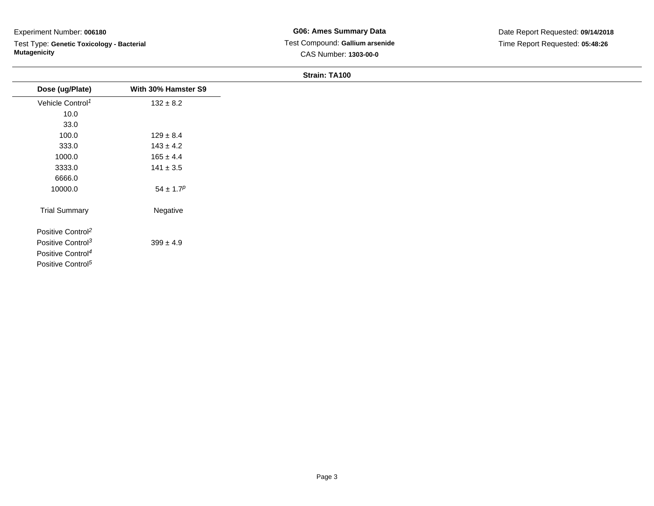Test Type: **Genetic Toxicology - Bacterial Mutagenicity**

## **Strain: TA100**

| Dose (ug/Plate)               | With 30% Hamster S9 |
|-------------------------------|---------------------|
| Vehicle Control <sup>1</sup>  | $132 \pm 8.2$       |
| 10.0                          |                     |
| 33.0                          |                     |
| 100.0                         | $129 \pm 8.4$       |
| 333.0                         | $143 \pm 4.2$       |
| 1000.0                        | $165 \pm 4.4$       |
| 3333.0                        | $141 \pm 3.5$       |
| 6666.0                        |                     |
| 10000.0                       | $54 \pm 1.7^p$      |
| <b>Trial Summary</b>          | Negative            |
| Positive Control <sup>2</sup> |                     |
| Positive Control <sup>3</sup> | $399 \pm 4.9$       |
| Positive Control <sup>4</sup> |                     |
| Positive Control <sup>5</sup> |                     |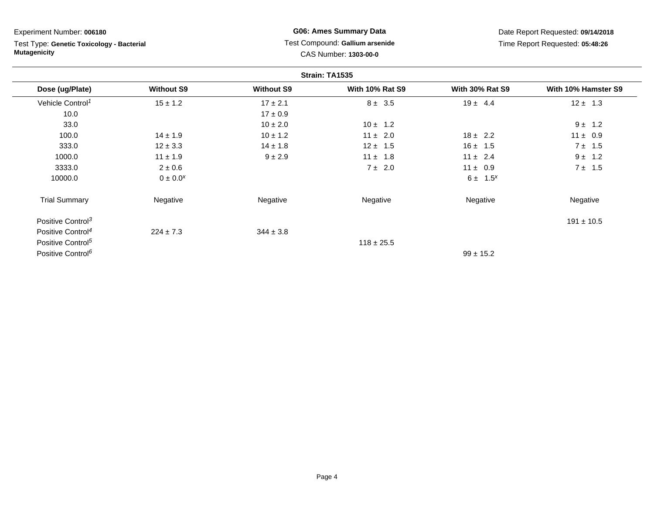Test Type: **Genetic Toxicology - Bacterial Mutagenicity**

**G06: Ames Summary Data** Test Compound: **Gallium arsenide**CAS Number: **1303-00-0**

|                               |                   |                   | Strain: TA1535         |                        |                     |
|-------------------------------|-------------------|-------------------|------------------------|------------------------|---------------------|
| Dose (ug/Plate)               | <b>Without S9</b> | <b>Without S9</b> | <b>With 10% Rat S9</b> | <b>With 30% Rat S9</b> | With 10% Hamster S9 |
| Vehicle Control <sup>1</sup>  | $15 \pm 1.2$      | $17 \pm 2.1$      | $8 \pm 3.5$            | $19 \pm 4.4$           | $12 \pm 1.3$        |
| 10.0                          |                   | $17 \pm 0.9$      |                        |                        |                     |
| 33.0                          |                   | $10 \pm 2.0$      | $10 \pm 1.2$           |                        | $9 \pm 1.2$         |
| 100.0                         | $14 \pm 1.9$      | $10 \pm 1.2$      | $11 \pm 2.0$           | $18 \pm 2.2$           | $11 \pm 0.9$        |
| 333.0                         | $12 \pm 3.3$      | $14 \pm 1.8$      | $12 \pm 1.5$           | $16 \pm 1.5$           | 7 ± 1.5             |
| 1000.0                        | $11 \pm 1.9$      | $9 + 2.9$         | $11 \pm 1.8$           | $11 \pm 2.4$           | $9 \pm 1.2$         |
| 3333.0                        | $2 \pm 0.6$       |                   | $7 \pm 2.0$            | $11 \pm 0.9$           | $7 \pm 1.5$         |
| 10000.0                       | $0 \pm 0.0^x$     |                   |                        | $6 \pm 1.5^{x}$        |                     |
| <b>Trial Summary</b>          | Negative          | Negative          | Negative               | Negative               | Negative            |
| Positive Control <sup>3</sup> |                   |                   |                        |                        | $191 \pm 10.5$      |
| Positive Control <sup>4</sup> | $224 \pm 7.3$     | $344 \pm 3.8$     |                        |                        |                     |
| Positive Control <sup>5</sup> |                   |                   | $118 \pm 25.5$         |                        |                     |
| Positive Control <sup>6</sup> |                   |                   |                        | $99 \pm 15.2$          |                     |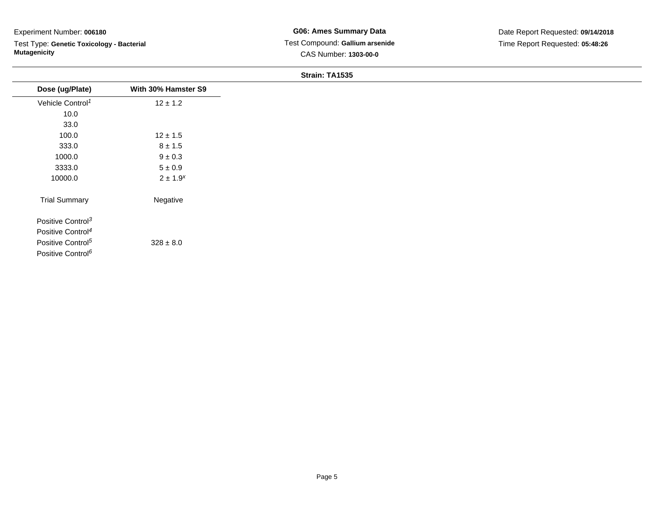Test Type: **Genetic Toxicology - Bacterial Mutagenicity**

#### **Strain: TA1535**

| Dose (ug/Plate)               | With 30% Hamster S9 |
|-------------------------------|---------------------|
| Vehicle Control <sup>1</sup>  | $12 \pm 1.2$        |
| 10.0                          |                     |
| 33.0                          |                     |
| 100.0                         | $12 \pm 1.5$        |
| 333.0                         | $8 \pm 1.5$         |
| 1000.0                        | $9 \pm 0.3$         |
| 3333.0                        | $5\pm0.9$           |
| 10000.0                       | $2 \pm 1.9^{x}$     |
| <b>Trial Summary</b>          | Negative            |
| Positive Control <sup>3</sup> |                     |
| Positive Control <sup>4</sup> |                     |
| Positive Control <sup>5</sup> | $328 \pm 8.0$       |
| Positive Control <sup>6</sup> |                     |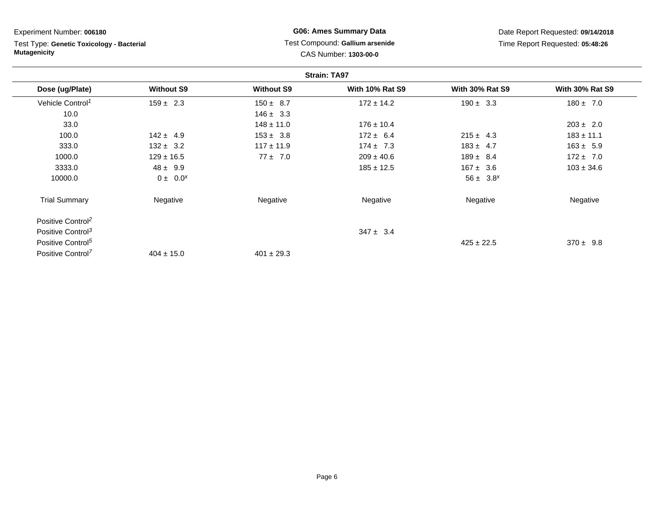**Strain: TA97Dose (ug/Plate) Without S9 Without S9 With 10% Rat S9 With 30% Rat S9 With 30% Rat S9** Vehicle Control<sup>1</sup>  $159 \pm 2.3$ 3 150 ± 8.7 172 ± 14.2 190 ± 3.3 180 ± 7.0 10.0 $146 \pm 3.3$ <br> $148 \pm 11.0$ 33.00 148 ± 11.0 176 ± 10.4 203 ± 2.0 100.00 142 ± 4.9 153 ± 3.8 172 ± 6.4 215 ± 4.3 183 ± 11.1 333.00 132 ± 3.2 117 ± 11.9 174 ± 7.3 183 ± 4.7 163 ± 5.9 1000.00 129 ± 16.5  $77 \pm 7.0$  209 ± 40.6  $189 \pm 8.4$  172 ± 7.0 3333.00  $48 \pm 9.9$   $185 \pm 12.5$   $167 \pm 3.6$   $103 \pm 34.6$ 10000.00  $0 \pm 0.0^{x}$  56  $\pm 3.8^{x}$ Trial Summary Negative Negative Negative Negative Negative Positive Control<sup>2</sup>Positive Control<sup>3</sup>  $347 \pm 3.4$ Positive Control<sup>5</sup>  $425 \pm 22.5$  $425 \pm 22.5$  370 ± 9.8 Positive Control<sup>7</sup> Experiment Number: **006180**Test Type: **Genetic Toxicology - BacterialMutagenicityG06: Ames Summary Data** Test Compound: **Gallium arsenide**CAS Number: **1303-00-0**Date Report Requested: **09/14/2018**Time Report Requested: **05:48:26**

 $401 \pm 29.3$ 

 $404 \pm 15.0$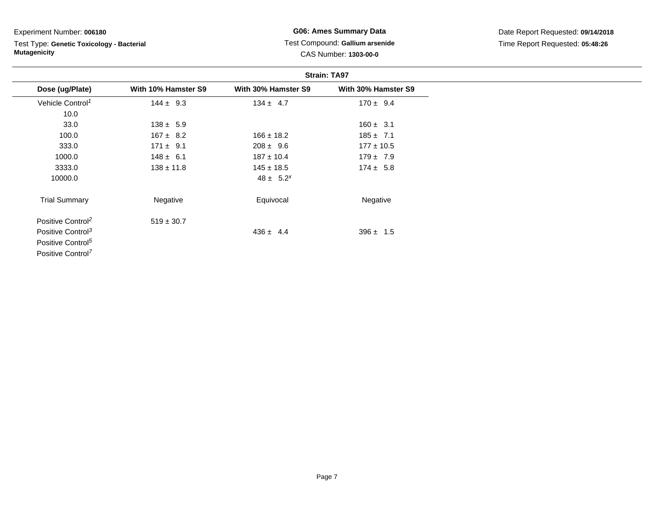Test Type: **Genetic Toxicology - Bacterial Mutagenicity**

**G06: Ames Summary Data** Test Compound: **Gallium arsenide**CAS Number: **1303-00-0**

|                               |                     |                     | <b>Strain: TA97</b> |
|-------------------------------|---------------------|---------------------|---------------------|
| Dose (ug/Plate)               | With 10% Hamster S9 | With 30% Hamster S9 | With 30% Hamster S9 |
| Vehicle Control <sup>1</sup>  | $144 \pm 9.3$       | $134 \pm 4.7$       | $170 \pm 9.4$       |
| 10.0                          |                     |                     |                     |
| 33.0                          | $138 \pm 5.9$       |                     | $160 \pm 3.1$       |
| 100.0                         | $167 \pm 8.2$       | $166 \pm 18.2$      | $185 \pm 7.1$       |
| 333.0                         | $171 \pm 9.1$       | $208 \pm 9.6$       | $177 \pm 10.5$      |
| 1000.0                        | $148 \pm 6.1$       | $187 \pm 10.4$      | $179 \pm 7.9$       |
| 3333.0                        | $138 \pm 11.8$      | $145 \pm 18.5$      | $174 \pm 5.8$       |
| 10000.0                       |                     | $48 \pm 5.2^{x}$    |                     |
| <b>Trial Summary</b>          | Negative            | Equivocal           | Negative            |
| Positive Control <sup>2</sup> | $519 \pm 30.7$      |                     |                     |
| Positive Control <sup>3</sup> |                     | $436 \pm 4.4$       | $396 \pm 1.5$       |
| Positive Control <sup>5</sup> |                     |                     |                     |
| Positive Control <sup>7</sup> |                     |                     |                     |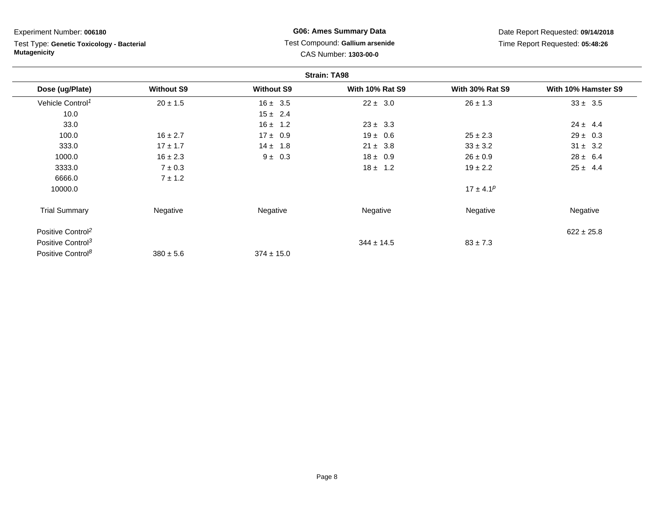Test Type: **Genetic Toxicology - Bacterial Mutagenicity**

**G06: Ames Summary Data** Test Compound: **Gallium arsenide**CAS Number: **1303-00-0**

|                               |                   |                   | <b>Strain: TA98</b>    |                        |                     |
|-------------------------------|-------------------|-------------------|------------------------|------------------------|---------------------|
| Dose (ug/Plate)               | <b>Without S9</b> | <b>Without S9</b> | <b>With 10% Rat S9</b> | <b>With 30% Rat S9</b> | With 10% Hamster S9 |
| Vehicle Control <sup>1</sup>  | $20 \pm 1.5$      | $16 \pm 3.5$      | $22 \pm 3.0$           | $26 \pm 1.3$           | $33 \pm 3.5$        |
| 10.0                          |                   | $15 \pm 2.4$      |                        |                        |                     |
| 33.0                          |                   | $16 \pm 1.2$      | $23 \pm 3.3$           |                        | $24 \pm 4.4$        |
| 100.0                         | $16 \pm 2.7$      | $17 \pm 0.9$      | $19 \pm 0.6$           | $25 \pm 2.3$           | $29 \pm 0.3$        |
| 333.0                         | $17 \pm 1.7$      | $14 \pm 1.8$      | $21 \pm 3.8$           | $33 \pm 3.2$           | $31 \pm 3.2$        |
| 1000.0                        | $16 \pm 2.3$      | $9 \pm 0.3$       | $18 \pm 0.9$           | $26 \pm 0.9$           | $28 \pm 6.4$        |
| 3333.0                        | $7 \pm 0.3$       |                   | $18 \pm 1.2$           | $19 \pm 2.2$           | $25 \pm 4.4$        |
| 6666.0                        | $7 \pm 1.2$       |                   |                        |                        |                     |
| 10000.0                       |                   |                   |                        | $17 \pm 4.1^p$         |                     |
| <b>Trial Summary</b>          | Negative          | Negative          | Negative               | Negative               | Negative            |
| Positive Control <sup>2</sup> |                   |                   |                        |                        | $622 \pm 25.8$      |
| Positive Control <sup>3</sup> |                   |                   | $344 \pm 14.5$         | $83 \pm 7.3$           |                     |
| Positive Control <sup>8</sup> | $380 \pm 5.6$     | $374 \pm 15.0$    |                        |                        |                     |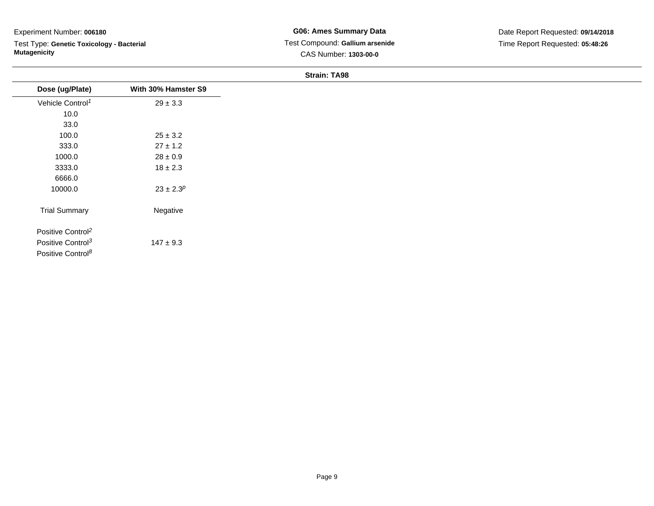Test Type: **Genetic Toxicology - Bacterial Mutagenicity**

## **Strain: TA98**

| Dose (ug/Plate)                                                | With 30% Hamster S9 |
|----------------------------------------------------------------|---------------------|
| Vehicle Control <sup>1</sup>                                   | $29 \pm 3.3$        |
| 10.0                                                           |                     |
| 33.0                                                           |                     |
| 100.0                                                          | $25 \pm 3.2$        |
| 333.0                                                          | $27 \pm 1.2$        |
| 1000.0                                                         | $28 \pm 0.9$        |
| 3333.0                                                         | $18 \pm 2.3$        |
| 6666.0                                                         |                     |
| 10000.0                                                        | $23 \pm 2.3^p$      |
| <b>Trial Summary</b>                                           | Negative            |
| Positive Control <sup>2</sup><br>Positive Control <sup>3</sup> | $147 \pm 9.3$       |
| Positive Control <sup>8</sup>                                  |                     |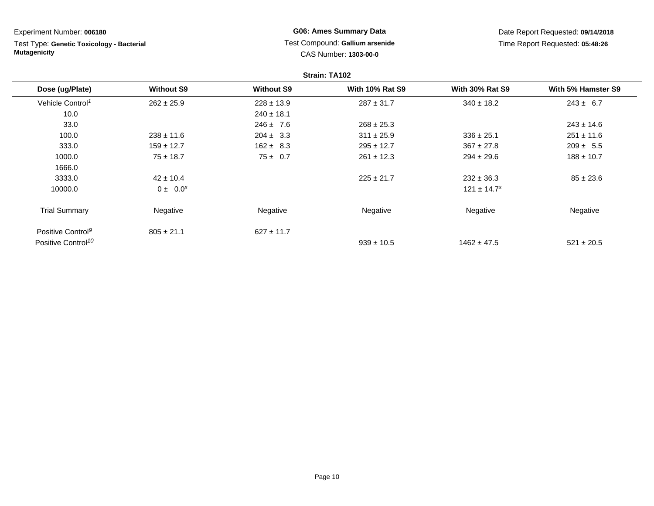Test Type: **Genetic Toxicology - Bacterial Mutagenicity**

# **G06: Ames Summary Data** Test Compound: **Gallium arsenide**CAS Number: **1303-00-0**

|                                |                   |                   | Strain: TA102          |                        |                    |
|--------------------------------|-------------------|-------------------|------------------------|------------------------|--------------------|
| Dose (ug/Plate)                | <b>Without S9</b> | <b>Without S9</b> | <b>With 10% Rat S9</b> | <b>With 30% Rat S9</b> | With 5% Hamster S9 |
| Vehicle Control <sup>1</sup>   | $262 \pm 25.9$    | $228 \pm 13.9$    | $287 \pm 31.7$         | $340 \pm 18.2$         | $243 \pm 6.7$      |
| 10.0                           |                   | $240 \pm 18.1$    |                        |                        |                    |
| 33.0                           |                   | $246 \pm 7.6$     | $268 \pm 25.3$         |                        | $243 \pm 14.6$     |
| 100.0                          | $238 \pm 11.6$    | $204 \pm 3.3$     | $311 \pm 25.9$         | $336 \pm 25.1$         | $251 \pm 11.6$     |
| 333.0                          | $159 \pm 12.7$    | $162 \pm 8.3$     | $295 \pm 12.7$         | $367 \pm 27.8$         | $209 \pm 5.5$      |
| 1000.0                         | $75 \pm 18.7$     | $75 \pm 0.7$      | $261 \pm 12.3$         | $294 \pm 29.6$         | $188 \pm 10.7$     |
| 1666.0                         |                   |                   |                        |                        |                    |
| 3333.0                         | $42 \pm 10.4$     |                   | $225 \pm 21.7$         | $232 \pm 36.3$         | $85 \pm 23.6$      |
| 10000.0                        | $0 \pm 0.0^{x}$   |                   |                        | $121 \pm 14.7^x$       |                    |
| <b>Trial Summary</b>           | Negative          | Negative          | Negative               | Negative               | Negative           |
| Positive Control <sup>9</sup>  | $805 \pm 21.1$    | $627 \pm 11.7$    |                        |                        |                    |
| Positive Control <sup>10</sup> |                   |                   | $939 \pm 10.5$         | $1462 \pm 47.5$        | $521 \pm 20.5$     |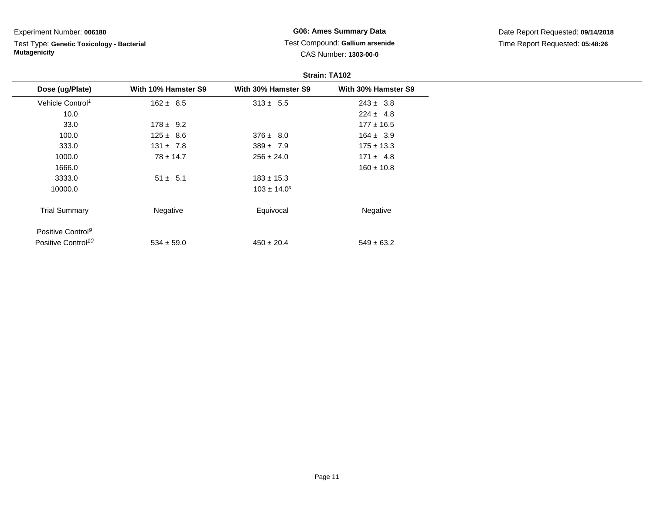Test Type: **Genetic Toxicology - Bacterial Mutagenicity**

# **G06: Ames Summary Data** Test Compound: **Gallium arsenide**CAS Number: **1303-00-0**

|                                | Strain: TA102       |                     |                     |  |
|--------------------------------|---------------------|---------------------|---------------------|--|
| Dose (ug/Plate)                | With 10% Hamster S9 | With 30% Hamster S9 | With 30% Hamster S9 |  |
| Vehicle Control <sup>1</sup>   | $162 \pm 8.5$       | $313 \pm 5.5$       | $243 \pm 3.8$       |  |
| 10.0                           |                     |                     | $224 \pm 4.8$       |  |
| 33.0                           | $178 \pm 9.2$       |                     | $177 \pm 16.5$      |  |
| 100.0                          | $125 \pm 8.6$       | $376 \pm 8.0$       | $164 \pm 3.9$       |  |
| 333.0                          | $131 \pm 7.8$       | $389 \pm 7.9$       | $175 \pm 13.3$      |  |
| 1000.0                         | $78 \pm 14.7$       | $256 \pm 24.0$      | $171 \pm 4.8$       |  |
| 1666.0                         |                     |                     | $160 \pm 10.8$      |  |
| 3333.0                         | $51 \pm 5.1$        | $183 \pm 15.3$      |                     |  |
| 10000.0                        |                     | $103 \pm 14.0^x$    |                     |  |
| <b>Trial Summary</b>           | Negative            | Equivocal           | Negative            |  |
| Positive Control <sup>9</sup>  |                     |                     |                     |  |
| Positive Control <sup>10</sup> | $534 \pm 59.0$      | $450 \pm 20.4$      | $549 \pm 63.2$      |  |